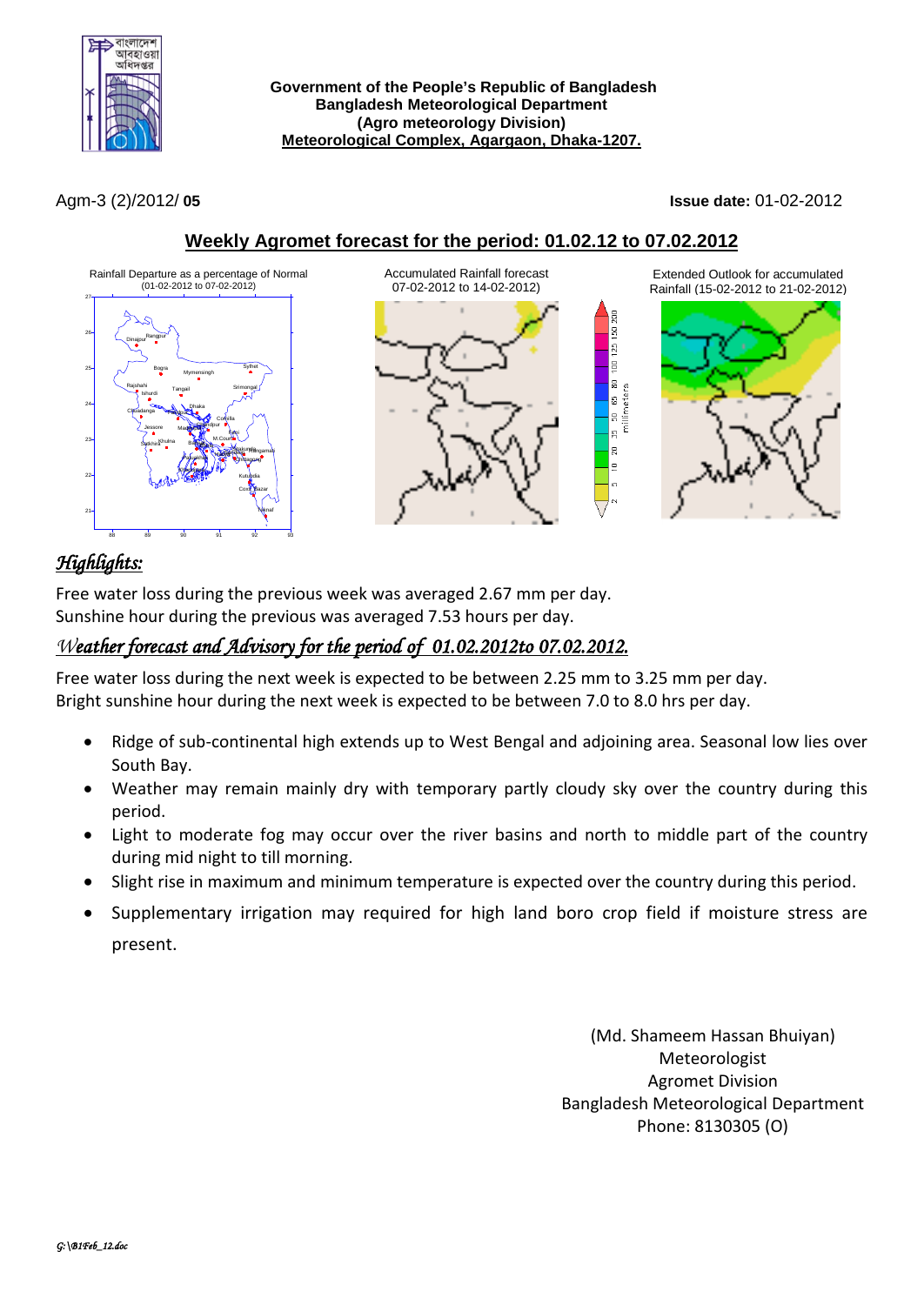

Agm-3 (2)/2012/ **05 Issue date:** 01-02-2012

## **Weekly Agromet forecast for the period: 01.02.12 to 07.02.2012**





Extended Outlook for accumulated Rainfall (15-02-2012 to 21-02-2012)

|g  $\frac{1}{2}$ ls. 65 80 millimeters |a **B** |ន ∣∍



# *Highlights:*

Free water loss during the previous week was averaged 2.67 mm per day. Sunshine hour during the previous was averaged 7.53 hours per day.

# *Weather forecast and Advisory for the period of 01.02.2012to 07.02.2012.*

Free water loss during the next week is expected to be between 2.25 mm to 3.25 mm per day. Bright sunshine hour during the next week is expected to be between 7.0 to 8.0 hrs per day.

- Ridge of sub-continental high extends up to West Bengal and adjoining area. Seasonal low lies over South Bay.
- Weather may remain mainly dry with temporary partly cloudy sky over the country during this period.
- Light to moderate fog may occur over the river basins and north to middle part of the country during mid night to till morning.
- Slight rise in maximum and minimum temperature is expected over the country during this period.
- Supplementary irrigation may required for high land boro crop field if moisture stress are present.

(Md. Shameem Hassan Bhuiyan) Meteorologist Agromet Division Bangladesh Meteorological Department Phone: 8130305 (O)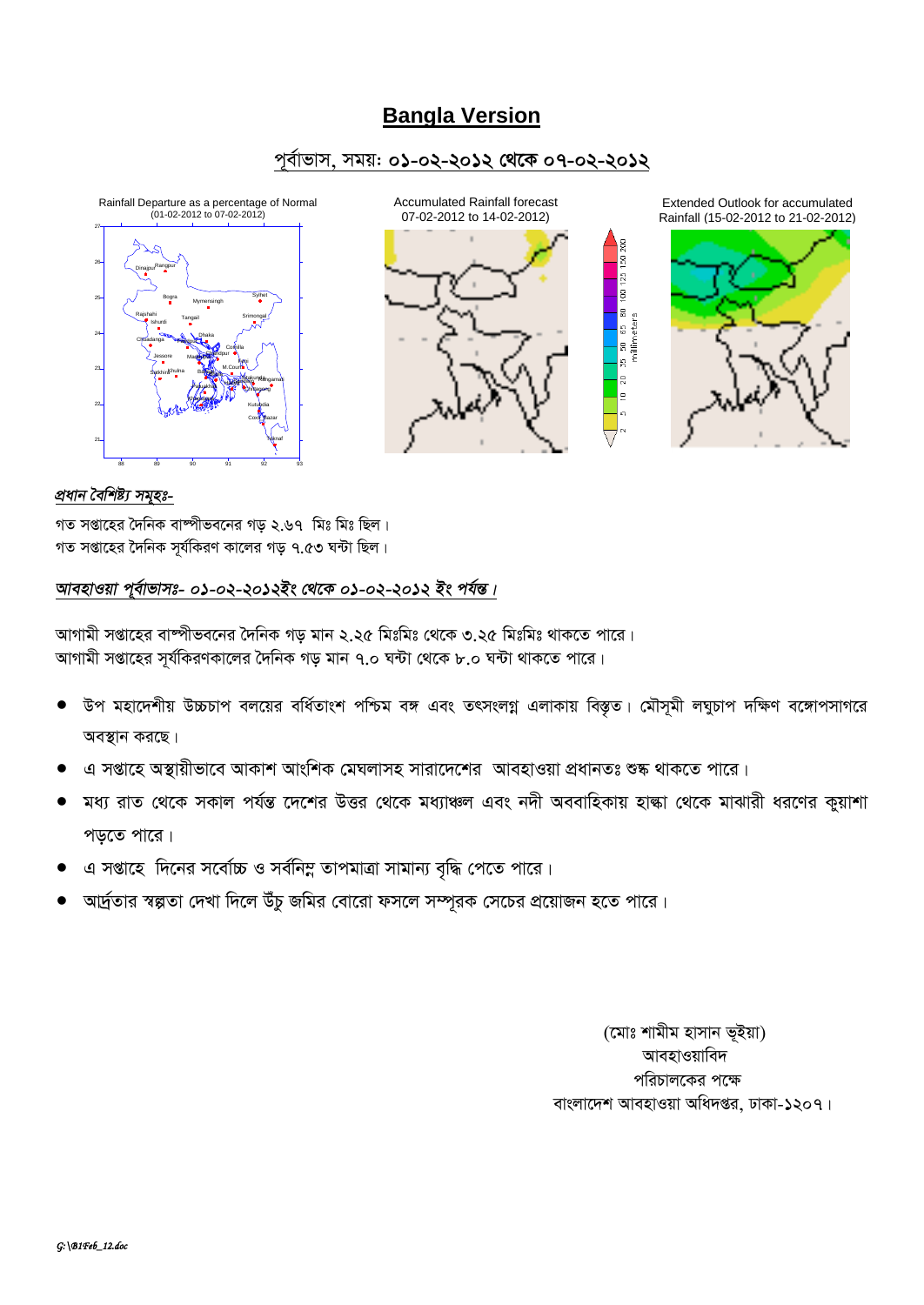## **Bangla Version**

### পূর্বাভাস, সময়: ০১-০২-২০১২ থেকে ০৭-০২-২০১২





Extended Outlook for accumulated Rainfall (15-02-2012 to 21-02-2012)



 $\overline{\mathbb{B}}$ ъ, la ∣≘

#### প্ৰধান বৈশিষ্ট্য সমুহঃ-

গত সপ্তাহের দৈনিক বাস্পীভবনের গড ২.৬৭ মিঃ মিঃ ছিল। গত সপ্তাহের দৈনিক সূর্যকিরণ কালের গড় ৭.৫৩ ঘন্টা ছিল।

### আবহাওয়া পূর্বাভাসঃ- ০১-০২-২০১২ইং থেকে ০১-০২-২০১২ ইং পর্যন্ত।

আগামী সপ্তাহের বাস্পীভবনের দৈনিক গড় মান ২.২৫ মিঃমিঃ থেকে ৩.২৫ মিঃমিঃ থাকতে পারে। আগামী সপ্তাহের সর্যকিরণকালের দৈনিক গড় মান ৭.০ ঘন্টা থেকে ৮.০ ঘন্টা থাকতে পারে।

- উপ মহাদেশীয় উচ্চচাপ বলয়ের বর্ধিতাংশ পশ্চিম বঙ্গ এবং তৎসংলগ্ন এলাকায় বিস্তৃত। মৌসমী লঘুচাপ দক্ষিণ বঙ্গোপসাগরে অবস্থান করছে।
- এ সপ্তাহে অস্থায়ীভাবে আকাশ আংশিক মেঘলাসহ সারাদেশের আবহাওয়া প্রধানতঃ শুষ্ক থাকতে পারে।
- মধ্য রাত থেকে সকাল পর্যন্ত দেশের উত্তর থেকে মধ্যাঞ্চল এবং নদী অববাহিকায় হাঙ্কা থেকে মাঝারী ধরণের কুয়াশা পড়তে পারে।
- এ সপ্তাহে দিনের সর্বোচ্চ ও সর্বনিম্ন তাপমাত্রা সামান্য বৃদ্ধি পেতে পারে।
- আর্দ্রতার স্বল্পতা দেখা দিলে উঁচু জমির বোরো ফসলে সম্পূরক সেচের প্রয়োজন হতে পারে।

(মোঃ শামীম হাসান ভূইয়া) আবহাওয়াবিদ পরিচালকের পক্ষে বাংলাদেশ আবহাওয়া অধিদপ্তর, ঢাকা-১২০৭।